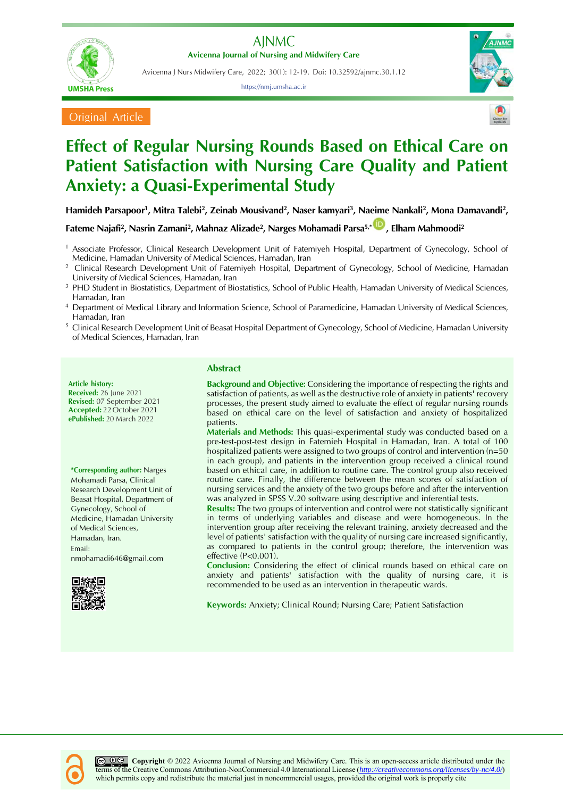

Avicenna J Nurs Midwifery Care, 2022; 30(1): 12-19. Doi: 10.32592/ajnmc.30.1.12

https://nmj.umsha.ac.ir



**Original Article** 



## **Effect of Regular Nursing Rounds Based on Ethical Care on Patient Satisfaction with Nursing Care Quality and Patient Anxiety: a Quasi-Experimental Study**

**Hamideh Parsapoor<sup>1</sup> , Mitra Talebi<sup>2</sup> , Zeinab Mousivand<sup>2</sup> , Naser kamyari<sup>3</sup> , Naeime Nankali<sup>2</sup> , Mona Damavandi<sup>2</sup> ,** 

**Fateme Najafi<sup>2</sup> , Nasrin Zamani<sup>2</sup> , Mahnaz Alizade<sup>2</sup> , Narges Mohamadi Parsa5,\* , Elham Mahmoodi<sup>2</sup>**

<sup>1</sup> Associate Professor, Clinical Research Development Unit of Fatemiyeh Hospital, Department of Gynecology, School of Medicine, Hamadan University of Medical Sciences, Hamadan, Iran

<sup>2</sup> Clinical Research Development Unit of Fatemiyeh Hospital, Department of Gynecology, School of Medicine, Hamadan University of Medical Sciences, Hamadan, Iran

PHD Student in Biostatistics, Department of Biostatistics, School of Public Health, Hamadan University of Medical Sciences, Hamadan, Iran

<sup>4</sup> Department of Medical Library and Information Science, School of Paramedicine, Hamadan University of Medical Sciences, Hamadan, Iran

<sup>5</sup> Clinical Research Development Unit of Beasat Hospital Department of Gynecology, School of Medicine, Hamadan University of Medical Sciences, Hamadan, Iran

**Article history: Received:** 26 June 2021 **Revised:** 07 September 2021 **Accepted:** 22 October 2021 **ePublished:** 20 March 2022

**\*Corresponding author:** Narges Mohamadi Parsa, Clinical Research Development Unit of Beasat Hospital, Department of Gynecology, School of Medicine, Hamadan University of Medical Sciences, Hamadan, Iran. Email: [nmohamadi646@gmail.com](mailto:nmohamadi646@gmail.com)



### **Abstract**

**Background and Objective:** Considering the importance of respecting the rights and satisfaction of patients, as well as the destructive role of anxiety in patients' recovery processes, the present study aimed to evaluate the effect of regular nursing rounds based on ethical care on the level of satisfaction and anxiety of hospitalized patients.

**Materials and Methods:** This quasi-experimental study was conducted based on a pre-test-post-test design in Fatemieh Hospital in Hamadan, Iran. A total of 100 hospitalized patients were assigned to two groups of control and intervention (n=50 in each group), and patients in the intervention group received a clinical round based on ethical care, in addition to routine care. The control group also received routine care. Finally, the difference between the mean scores of satisfaction of nursing services and the anxiety of the two groups before and after the intervention was analyzed in SPSS V.20 software using descriptive and inferential tests.

**Results:** The two groups of intervention and control were not statistically significant in terms of underlying variables and disease and were homogeneous. In the intervention group after receiving the relevant training, anxiety decreased and the level of patients' satisfaction with the quality of nursing care increased significantly, as compared to patients in the control group; therefore, the intervention was effective (P<0.001).

**Conclusion:** Considering the effect of clinical rounds based on ethical care on anxiety and patients' satisfaction with the quality of nursing care, it is recommended to be used as an intervention in therapeutic wards.

**Keywords:** Anxiety; Clinical Round; Nursing Care; Patient Satisfaction

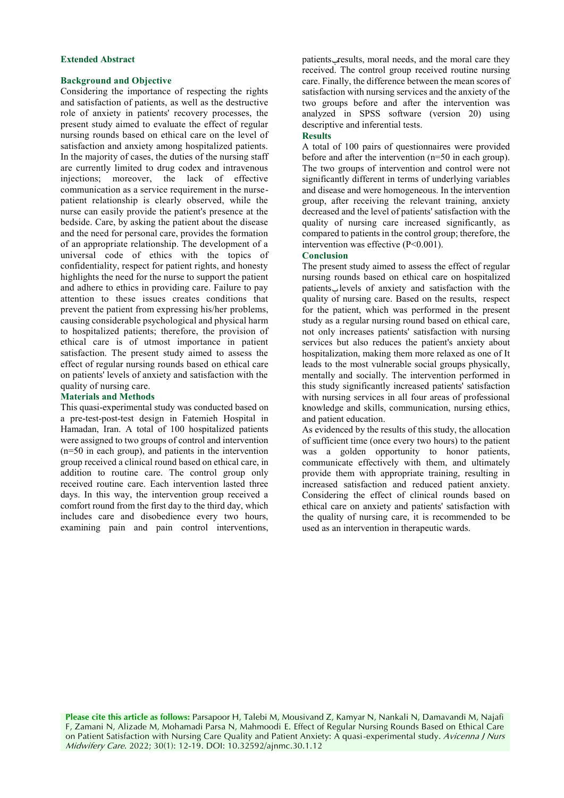### **Extended Abstract**

### **Background and Objective**

Considering the importance of respecting the rights and satisfaction of patients, as well as the destructive role of anxiety in patients' recovery processes, the present study aimed to evaluate the effect of regular nursing rounds based on ethical care on the level of satisfaction and anxiety among hospitalized patients. In the majority of cases, the duties of the nursing staff are currently limited to drug codex and intravenous injections; moreover, the lack of effective communication as a service requirement in the nursepatient relationship is clearly observed, while the nurse can easily provide the patient's presence at the bedside. Care, by asking the patient about the disease and the need for personal care, provides the formation of an appropriate relationship. The development of a universal code of ethics with the topics of confidentiality, respect for patient rights, and honesty highlights the need for the nurse to support the patient and adhere to ethics in providing care. Failure to pay attention to these issues creates conditions that prevent the patient from expressing his/her problems, causing considerable psychological and physical harm to hospitalized patients; therefore, the provision of ethical care is of utmost importance in patient satisfaction. The present study aimed to assess the effect of regular nursing rounds based on ethical care on patients' levels of anxiety and satisfaction with the quality of nursing care.

### **Materials and Methods**

This quasi-experimental study was conducted based on a pre-test-post-test design in Fatemieh Hospital in Hamadan, Iran. A total of 100 hospitalized patients were assigned to two groups of control and intervention (n=50 in each group), and patients in the intervention group received a clinical round based on ethical care, in addition to routine care. The control group only received routine care. Each intervention lasted three days. In this way, the intervention group received a comfort round from the first day to the third day, which includes care and disobedience every two hours, examining pain and pain control interventions, patients results, moral needs, and the moral care they received. The control group received routine nursing care. Finally, the difference between the mean scores of satisfaction with nursing services and the anxiety of the two groups before and after the intervention was analyzed in SPSS software (version 20) using descriptive and inferential tests.

### **Results**

A total of 100 pairs of questionnaires were provided before and after the intervention (n=50 in each group). The two groups of intervention and control were not significantly different in terms of underlying variables and disease and were homogeneous. In the intervention group, after receiving the relevant training, anxiety decreased and the level of patients' satisfaction with the quality of nursing care increased significantly, as compared to patients in the control group; therefore, the intervention was effective (P<0.001).

#### **Conclusion**

The present study aimed to assess the effect of regular nursing rounds based on ethical care on hospitalized patients' levels of anxiety and satisfaction with the quality of nursing care. Based on the results, respect for the patient, which was performed in the present study as a regular nursing round based on ethical care, not only increases patients' satisfaction with nursing services but also reduces the patient's anxiety about hospitalization, making them more relaxed as one of It leads to the most vulnerable social groups physically, mentally and socially. The intervention performed in this study significantly increased patients' satisfaction with nursing services in all four areas of professional knowledge and skills, communication, nursing ethics, and patient education.

As evidenced by the results of this study, the allocation of sufficient time (once every two hours) to the patient was a golden opportunity to honor patients, communicate effectively with them, and ultimately provide them with appropriate training, resulting in increased satisfaction and reduced patient anxiety. Considering the effect of clinical rounds based on ethical care on anxiety and patients' satisfaction with the quality of nursing care, it is recommended to be used as an intervention in therapeutic wards.

**Please cite this article as follows:** Parsapoor H, Talebi M, Mousivand Z, Kamyar N, Nankali N, Damavandi M, Najafi F, Zamani N, Alizade M, Mohamadi Parsa N, Mahmoodi E. Effect of Regular Nursing Rounds Based on Ethical Care on Patient Satisfaction with Nursing Care Quality and Patient Anxiety: A quasi-experimental study. Avicenna J Nurs Midwifery Care. 2022; 30(1): 12-19. DOI: 10.32592/ajnmc.30.1.12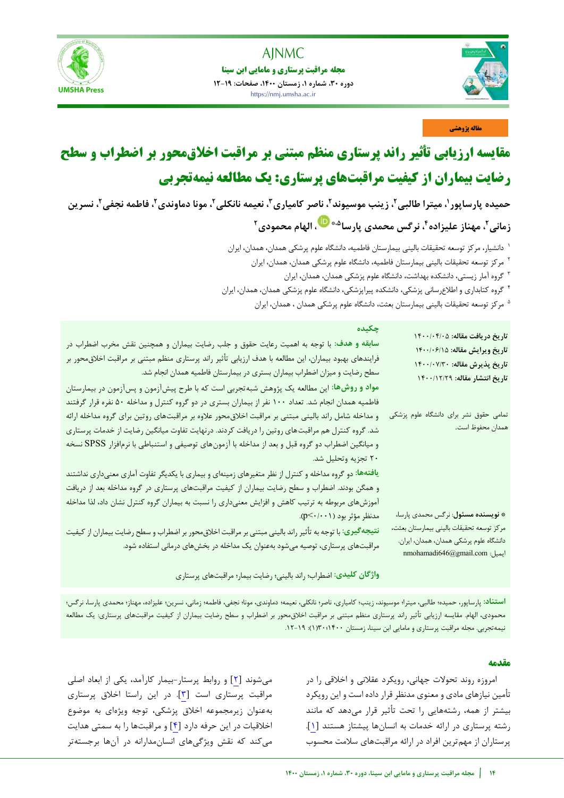

i<br>I



### **مقاله پژوهشی**

# **مقایسه ارزیابی تأثیر راند پرستاری منظم مبتنی بر مراقبت اخلاق محور بر اضطراب و سطح رضایت بیماران از کیفیت مراقبتهای پرستاری: یک مطالعه نیمهتجربی**

حمیده پارساپور ٰ، میترا طالبی ٔ، زینب موسیوند ٔ، ناصر کامیاری ٔ، نعیمه نانکلی ٔ، مونا دماوندی ٔ، فاطمه نجفی ٔ، نسرین

**2 زمانی ،<sup>4</sup> نرگس محمدی ، مهناز علیزاده 2 [،](http://orcid.org/0000-0002-0826-2203) الهام محمودی ،5\* پارسا**

- دانشیار، مرکز توسعه تحقیقات بالینی بیمارستان فاطمیه، دانشگاه علوم پرشکی همدان، همدان، ایران <sup>1</sup>
	- <sup>۲</sup> مرکز توسعه تحقیقات بالینی بیمارستان فاطمیه، دانشگاه علوم پرشکی همدان، همدان، ایران
		- گروه آمار زیستی، دانشکده بهداشت، دانشگاه علوم پزشکی همدان، همدان، ایران <sup>3</sup>
- گروه کتابداری و اطالعرسانی پزشکی، دانشکده پیراپزشکی، دانشگاه علوم پزشکی همدان، همدان، ایران <sup>4</sup>
	- مرکز توسعه تحقیقات بالینی بیمارستان بعثت، دانشگاه علوم پرشکی همدان ، همدان، ایران  $^{\circ}$

| چکیده<br>سابقه و هدف: با توجه به اهمیت رعایت حقوق و جلب رضایت بیماران و همچنین نقش مخرب اضطراب در<br>فرایندهای بهبود بیماران، این مطالعه با هدف ارزیابی تأثیر راند پرستاری منظم مبتنی بر مراقبت اخلاق،حور بر<br>سطح رضایت و میزان اضطراب بیماران بستری در بیمارستان فاطمیه همدان انجام شد.<br>مواد و روشها: این مطالعه یک پژوهش شبه تجربی است که با طرح پیشآزمون و پسآزمون در بیمارستان<br>فاطمیه همدان انجام شد. تعداد ۱۰۰ نفر از بیماران بستری در دو گروه کنترل و مداخله ۵۰ نفره قرار گرفتند<br>و مداخله شامل راند بالینی مبتنی بر مراقبت اخلاق،حور علاوه بر مراقبتهای روتین برای گروه مداخله ارائه | تاريخ دريافت مقاله: ١٤٠٠/٠۴/٠٥<br>تاريخ ويرايش مقاله: ١٤٠٠/٠۶/١٥<br>تاريخ پذيرش مقاله: ١۴٠٠/٠٧/٣٠<br>تاريخ انتشار مقاله: ١٤٠٠/١٢/٢٩<br>تمامی حقوق نشر برای دانشگاه علوم پزشکی |
|-------------------------------------------------------------------------------------------------------------------------------------------------------------------------------------------------------------------------------------------------------------------------------------------------------------------------------------------------------------------------------------------------------------------------------------------------------------------------------------------------------------------------------------------------------------------------------------------------------|-------------------------------------------------------------------------------------------------------------------------------------------------------------------------------|
| شد. گروه کنترل هم مراقبت های روتین را دریافت کردند. درنهایت تفاوت میانگین رضایت از خدمات پرستاری<br>و میانگین اضطراب دو گروه قبل و بعد از مداخله با آزمونهای توصیفی و استنباطی با نرمافزار SPSS نسخه<br>۲۰ تجزیه وتحلیل شد.<br>یافتهها: دو گروه مداخله و کنترل از نظر متغیرهای زمینهای و بیماری با یکدیگر تفاوت آماری معنیداری نداشتند<br>و همگن بودند. اضطراب و سطح رضایت بیماران از کیفیت مراقبتهای پرستاری در گروه مداخله بعد از دریافت<br>آموزشهای مربوطه به ترتیب کاهش و افزایش معنیداری را نسبت به بیماران گروه کنترل نشان داد، لذا مداخله                                                      | همدان محفوظ است.                                                                                                                                                              |
| مدنظر مؤثر بود (p<۰/۰۰۱).<br>نتیجه گیری: با توجه به تأثیر راند بالینی مبتنی بر مراقبت اخلاق محور بر اضطراب و سطح رضایت بیماران از کیفیت<br>مراقبتهای پرستاری، توصیه میشود بهعنوان یک مداخله در بخشهای درمانی استفاده شود.<br>واژگان کلیدی: اضطراب؛ راند بالینی؛ رضایت بیمار؛ مراقبتهای پرستاری                                                                                                                                                                                                                                                                                                        | <b>* نویسنده مسئول</b> : نرگس محمدی پارسا،<br>مركز توسعه تحقيقات باليني بيمارستان بعثت،<br>دانشگاه علوم پرشکی همدان، همدان، ایران.<br>nmohamadi646@gmail.com                  |

استن**اد**: پارساپور، حمیده؛ طالبی، میترا؛ موسیوند، زینب؛ کامیاری، نامر؛ نانکلی، نعیمه؛ دماوندی، مونا؛ فاضمه؛ زمانی، نسرین؛ علیزاده، مهناز؛ محمدی پارسا، نرگس؛ محمودی، الهام. مقایسه ارزیابی تأثیر راند پرستاری منظم مبتنی بر مراقبت اخالقمحور بر اضطراب و سطح رضایت بیماران از کیفیت مراقبتهای پرستاری: یک مطالعه نیمهتجربی. مجله مراقبت پرستاری و مامایی ابن سینا، زمستان ۱۴۰۰/۲۰۰(۱): ۱۹-۱۲.

### **مقدمه**

امروزه روند تحولات جهانی، رویکرد عقلانی و اخلاقی را در تأمین نیازهای مادی و معنوی مدنظر قرار داده است و این رویکرد بیشتر از همه، رشتههایی را تحت تأثیر قرار می دهد که مانند رشته پرستاری در ارائه خدمات به انسان ها پیشتاز هستند [۱]. پرستاران از مهمترین افراد در ارائه مراقبتهای سالمت محسوب

می شوند [٢] و روابط پرستار-بیمار کارآمد، یکی از ابعاد اصلی مراقبت پرستاری است [٣]. در این راستا اخلاق پرستاری بهعنوان زیرمجموعه اخالق پزشکی، توجه ویژهای به موضوع اخلاقیات در این حرفه دارد [۴] و مراقبتها را به سمتی هدایت میکند که نقش ویژگیهای انسانمدارانه در آنها برجستهتر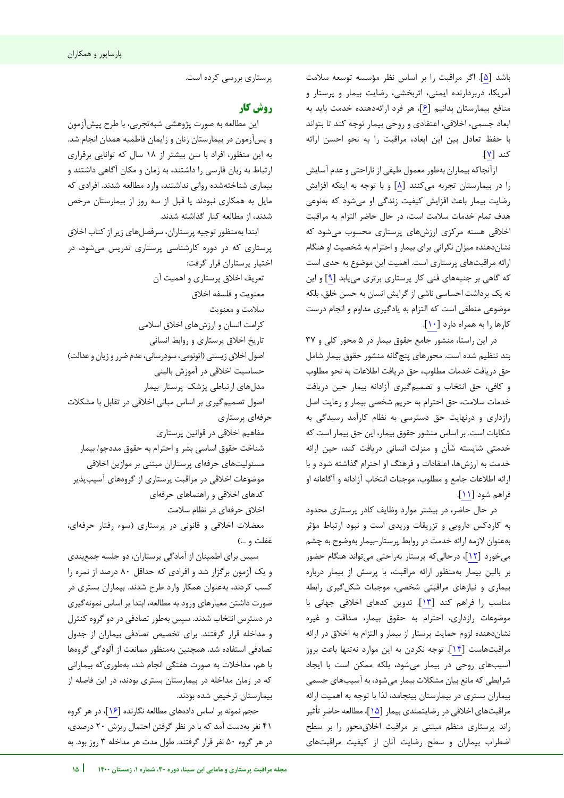باشد [۵]. اگر مراقبت را بر اساس نظر مؤسسه توسعه سلامت آمریکا، دربردارنده ایمنی، اثربخشی، رضایت بیمار و پرستار و منافع بیمارستان بدانیم [۶]، هر فرد ارائهدهنده خدمت باید به ابعاد جسمی، اخالقی، اعتقادی و روحی بیمار توجه کند تا بتواند با حفظ تعادل بین این ابعاد، مراقبت را به نحو احسن ارائه کند [7].

ازآنجاکه بیماران بهطور معمول طیفی از ناراحتی و عدم آسایش را در تجربه بیمارستان میکنند [8] و با توجه به اینکه افزایش رضایت بیمار باعث افزایش کیفیت زندگی او میشود که بهنوعی هدف تمام خدمات سالمت است، در حال حاضر التزام به مراقبت اخالقی هسته مرکزی ارزشهای پرستاری محسوب میشود که نشاندهنده میزان نگرانی برای بیمار و احترام به شخصیت او هنگام ارائه مراقبتهای پرستاری است. اهمیت این موضوع به حدی است که گاهی بر جنبههای فنی کار پرستاری برتری مییابد [9] این و نه یک برداشت احساسی ناشی از گرایش انسان به حسن خلق، بلکه موضوعی منطقی است که التزام به یادگیری مداوم و انجام درست کارها را به همراه دارد [10].

در این راستا، منشور جامع حقوق بیمار در 5 محور کلی و 37 بند تنظیم شده است. محورهای پنجگانه منشور حقوق بیمار شامل حق دریافت خدمات مطلوب، حق دریافت اطالعات به نحو مطلوب و کافی، حق انتخاب و تصمیمگیری آزادانه بیمار حین دریافت خدمات سالمت، حق احترام به حریم شخصی بیمار و رعایت اصل رازداری و درنهایت حق دسترسی به نظام کارآمد رسیدگی به شکایات است. بر اساس منشور حقوق بیمار، این حق بیمار است که خدمتی شایسته شأن و منزلت انسانی دریافت کند، حین ارائه خدمت به ارزشها، اعتقادات و فرهنگ او احترام گذاشته شود و با ارائه اطالعات جامع و مطلوب، موجبات انتخاب آزادانه و آگاهانه او فراهم شود [11].

در حال حاضر، در بیشتر موارد وظایف کادر پرستاری محدود به کاردکس دارویی و تزریقات وریدی است و نبود ارتباط مؤثر به عنوان لازمه ارائه خدمت در روابط پرستار-بیمار بهوضوح به چشم میخورد [1۲]، درحالیکه پرستار بهراحتی میتواند هنگام حضور بر بالین بیمار بهمنظور ارائه مراقبت، با پرسش از بیمار درباره بیماری و نیازهای مراقبتی شخصی، موجبات شکلگیری رابطه مناسب را فراهم کند [1۳]. تدوین کدهای اخلاقی جهانی با موضوعات رازداری، احترام به حقوق بیمار، صداقت و غیره نشاندهنده لزوم حمایت پرستار از بیمار و التزام به اخالق در ارائه مراقبتهاست [14]. توجه نکردن به این موارد نهتنها باعث بروز آسیبهای روحی در بیمار میشود، بلکه ممکن است با ایجاد شرایطی که مانع بیان مشکالت بیمار میشود، به آسیبهای جسمی بیماران بستری در بیمارستان بینجامد، لذا با توجه به اهمیت ارائه مراقبتهای اخالقی در رضایتمندی بیمار [15] تأثیر ، مطالعه حاضر راند پرستاری منظم مبتنی بر مراقبت اخالقمحور را بر سطح اضطراب بیماران و سطح رضایت آنان از کیفیت مراقبتهای

j

پرستاری بررسی کرده است.

### **کار روش**

این مطالعه به صورت پژوهشی شبهتجربی، با طرح پیشآزمون و پسآزمون در بیمارستان زنان و زایمان فاطمیه همدان انجام شد. به این منظور، افراد با سن بیشتر از 18 سال که توانایی برقراری ارتباط به زبان فارسی را داشتند، به زمان و مکان آگاهی داشتند و بیماری شناختهشده روانی نداشتند، وارد مطالعه شدند. افرادی که مایل به همکاری نبودند یا قبل از سه روز از بیمارستان مرخص شدند، از مطالعه کنار گذاشته شدند.

ابتدا بهمنظور توجیه پرستاران، سرفصلهای زیر از کتاب اخال ق پرستاری که در دوره کارشناسی پرستاری تدریس میشود، در اختیار پرستاران قرار گرفت:

تعریف اخالق پرستاری و اهمیت آن معنویت و فلسفه اخالق سالمت و معنویت کرامت انسان و ارزشهای اخالق اسالمی تاریخ اخالق پرستاری و روابط انسانی اصول اخلاق زیستی (اتونومی، سودرسانی، عدم ضرر و زیان و عدالت) حساسیت اخالقی در آموزش بالینی مدلهای ارتباطی پزشک بیمار-پرستار- اصول تصمیم گیری بر اساس مبانی اخلاقی در تقابل با مشکلات حرفهای پرستاری مفاهیم اخالقی در قوانین پرستاری شناخت حقوق اساسی بشر و احترام به حقوق مددجو/ بیمار مسئولیتهای حرفه ای پرستاران مبتنی بر موازین اخالقی

موضوعات اخلاقی در مراقبت پرستاری از گروههای آسیبپذیر کدهای اخالقی و راهنماهای حرفهای اخالق حرفهای در نظام سالمت

معضالت اخالقی و قانونی در ) یپرستار سوء رفتار حرفهای، غفلت و ...(

سپس برای اطمینان از آمادگی پرستاران، دو جلسه جمع بندی و یک آزمون برگزار شد و افرادی که حداقل 80 درصد از نمره را کسب کردند، بهعنوان همکار وارد طرح شدند. بیماران بستری در صورت داشتن معیارهای ورود به مطالعه، ابتدا بر اساس نمونهگیری در دسترس انتخاب شدند. سپس بهطور تصادفی در دو گروه کنترل و مداخله قرار گرفتند. برای تخصیص تصادفی بیماران از جدول تصادفی استفاده شد. همچنین بهمنظور ممانعت از آلودگی گروهها با هم، مداخالت به صورت هفتگی انجام شد، بهطوریکه بیمارانی که در زمان مداخله در بیمارستان بستری بودند، در این فاصله از بیمارستان ترخیص شده بودند.

حجم نمونه بر اساس دادههای مطالعه نگارنده [16]، در هر گروه 41 نفر بهدست آمد که با در نظر گرفتن احتمال ریزش 20 درصدی، در هر گروه 50 نفر قرار گرفتند. طول مدت هر مداخله 3 روز بود. به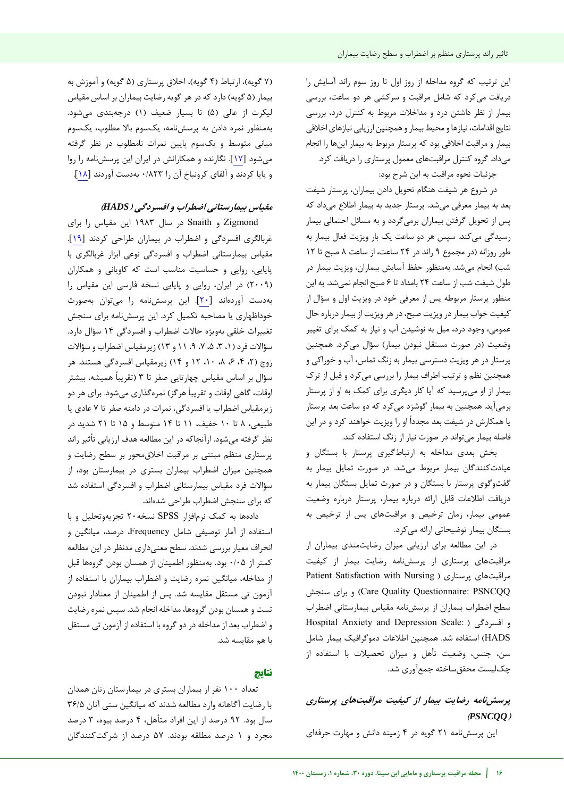این ترتیب که گروه مداخله از روز اول تا روز سوم راند آسایش را دریافت میکرد که شامل مراقبت و سرکشی هر دو ساعت، بررسی بیمار از نظر داشتن درد و مداخالت مربوط به کنترل درد، بررسی نتایج اقدامات، نیازها و محیط بیمار و همچنین ارزیابی نیازهای اخالقی بیمار و مراقبت اخلاقی بود که پرستار مربوط به بیمار اینها را انجام میداد. گروه کنترل مراقبتهای معمول پرستاری را دریافت کرد.

جزئیات نحوه مراقبت به این شرح بود:

در شروع هر شیفت هنگام تحویل دادن بیماران، پرستار شیفت بعد به بیمار معرفی میشد. پرستار جدید به بیمار اطالع می که داد پس از تحویل گرفتن بیماران برمیگردد و به مسائل احتمالی بیمار رسیدگی میکند. سپس هر دو ساعت یک بار ویزیت فعال بیمار به طور روزانه (در مجموع ۹ راند در ۲۴ ساعت، از ساعت ۸ صبح تا ۱۲ شب) انجام میشد. بهمنظور حفظ آسایش بیماران، ویزیت بیمار در طول شیفت شب از ساعت 24 بامداد تا 6 صبح انجام نمیشد. به این منظور پرستار مربوطه پس از معرفی خود در ویزیت اول و سؤال از کیفیت خواب بیمار در ویزیت صبح، در هر ویزیت از بیمار درباره حال عمومی، وجود درد، میل به نوشیدن آب و نیاز به کمک برای تغییر وضعیت (در صورت مستقل نبودن بیمار) سؤال میکرد. همچنین پرستار در هر ویزیت دسترسی بیمار به زنگ تماس، آب و خوراکی و همچنین نظم و ترتیب اطراف بیمار را بررسی میکرد و قبل از ترک بیمار از او میپرسید که آیا کار دیگری برای کمک به او از پرستار برمیآید. همچنین به بیمار گوشزد میکرد که دو ساعت بعد پرستار یا همکارش در شیفت بعد مجددا او را ویزیت خواهند کرد و در این فاصله بیمار میتواند در صورت نیاز از زنگ استفاده کند.

بخش بعدی مداخله به ارتباطگیری پرستار با بستگان و عیادتکنندگان بیمار مربوط میشد. در صورت تمایل بیمار به گفتوگوی پرستار با بستگان و در صورت تمایل بستگان بیمار به دریافت اطالعات قابل ارائه درباره بیمار، پرستار درباره وضعیت عمومی بیمار، زمان ترخیص و مراقبتهای پس از ترخیص به بستگان بیمار توضیحاتی ارائه میکرد.

در این مطالعه برای ارزیابی میزان رضایتمندی بیماران از مراقبتهای پرستاری از پرسشنامه رضایت بیمار از کیفیت Patient Satisfaction with Nursing ( پرستاری مراقبتهای سنجش برای و( Care Quality Questionnaire: PSNCQQ سطح اضطراب بیماران از پرسشنامه مقیاس بیمارستانی اضطراب Hospital Anxiety and Depression Scale: ( افسردگی و HADS )استفاده شد. همچنین اطالعات دموگرافیک بیمار شامل سن، جنس، وضعیت تأهل و میزان تحصیالت با استفاده از چکلیست محققساخته جمعآوری شد.

### پرسشنامه رضایت بیمار از کیفیت مراقبتهای پرستاری **)***PSNCQQ***(**

نامه این پرسش 21 گویه در 4 زمینه دانش و مهارت حرفهای

(۷ گویه)، ارتباط (۴ گویه)، اخلاق پرستاری (۵ گویه) و آموزش به بیمار (۵ گویه) دارد که در هر گویه رضایت بیماران بر اساس مقیاس لیکرت از عالی (۵) تا بسیار ضعیف (۱) درجهبندی میشود. بهمنظور نمره دادن به پرسشنامه، یکسوم باال مطلوب، یکسوم میانی متوسط و یکسوم پایین نمرات نامطلوب در نظر گرفته میشود [17]. نگارنده و همکارانش در ایران این پرسشنامه را روا و پایا کردند و آلفای کرونباخ آن را 0/823 بهدست آوردند [18].

### **افسردگی ) و اضطراب بیمارستانی مقیاس** *HADS***)**

Zigmond و Snaith در سال 1983 این مقیاس را برای غربالگری افسردگی و اضطراب در بیماران طراحی کردند [19]. مقیاس بیمارستانی اضطراب و افسردگی نوعی ابزار غربالگری با پایایی، روایی و حساسیت مناسب است که کاویانی و همکاران )2009( در ایران، روایی و پایایی نسخه فارسی این مقیاس را بهدست آوردهاند [20]. این پرسشنامه را می توان بهصورت خوداظهاری یا مصاحبه تکمیل کرد. این پرسشنامه برای سنجش تغییرات خلقی بهویژه حاالت اضطراب و افسردگی 14 سؤال دارد. سؤاالت فرد)،1 ،3 ،5 ،7 ،9 11 و 13( زیرمقیاس اضطراب و سؤاالت زوج )،2 ،4 ،6 ،8 ،10 12 و 14( زیرمقیاس افسردگی هستند. هر سؤال بر اساس مقیاس چهارتایی صفر تا 3 ) تقریبا همیشه، بیشتر اوقات، گاهی اوقات و تقریباً هرگز) نمرهگذاری میشود. برای هر دو زیرمقیاس اضطراب یا افسردگی، نمرات در دامنه صفر تا 7 عادی یا طبیعی، 8 تا 10 خفیف، 11 تا 14 متوسط و 15 تا 21 شدید در نظر گرفته میشود. ازآنجاکه در این مطالعه هدف ارزیابی تأثیر راند پرستاری منظم مبتنی بر مراقبت اخالقمحور بر سطح رضایت و همچنین میزان اضطراب بیماران بستری در بیمارستان بود، از سؤاالت فرد مقیاس بیمارستانی اضطراب و افسردگی استفاده شد که برای سنجش اضطراب طراحی شدهاند.

ادهد ها به کمک نرمافزار SPSS نسخه20 تجزیهوتحلیل و با استفاده از آمار توصیفی شامل Frequency، درصد، میانگین و انحراف معیار بررسی شدند. سطح معنیداری مدنظر در این مطالعه کمتر از 0/05 بود. بهمنظور اطمینان از همسان بودن گروهها قبل از مداخله، میانگین نمره رضایت و اضطراب بیماران با استفاده از آزمون تی مستقل مقایسه شد. پس از اطمینان از معنادار نبودن تست و همسان بودن گروهها، مداخله انجام شد. سپس نمره رضایت و اضطراب بعد از مداخله در دو گروه با استفاده از آزمون تی مستقل با هم مقایسه شد.

### **نتایج**

تعداد 100 نفر از بیماران بستری در بیمارستان زنان همدان با رضایت آگاهانه وارد مطالعه شدند که میانگین سنی آنان 36/5 سال بود. 92 درصد از این افراد متأهل، 4 درصد بیوه، 3 درصد مجرد و 1 درصد مطلقه بودند. 57 درصد از شرکتکنندگان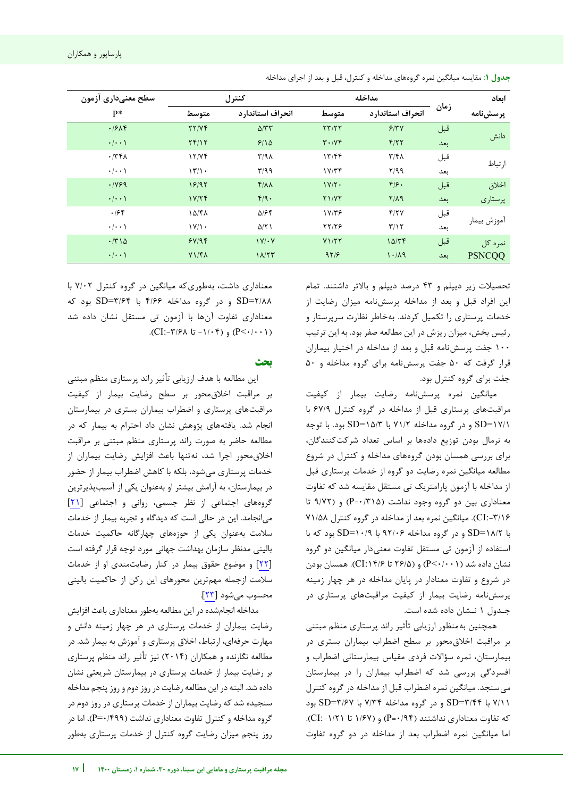| سطح معنىدارى آزمون  |                      | كنترل              |                               | مداخله                  |      | ابعاد         |
|---------------------|----------------------|--------------------|-------------------------------|-------------------------|------|---------------|
| P*                  | متوسط                | انحراف استاندارد   | متوسط                         | انحراف استاندارد        | زمان | پرسشنامه      |
| .1914               | YY/YF                | $\Delta/\tau\tau$  | $\tau\tau/\tau\tau$           | 9/7V                    | قبل  |               |
| $\cdot$   $\cdot$ \ | Yf/Y                 | 9/10               | $\mathbf{r} \cdot \mathbf{y}$ | F/77                    | بعد  | دانش          |
| $\cdot$ /٣۴٨        | 17/7f                | $\Gamma/9\Lambda$  | 17/FF                         | $\mathbf{r}/\mathbf{r}$ | قبل  |               |
| $\cdot/\cdot\cdot$  | 17/1                 | T/99               | $1 \text{Y/T}$                | Y/99                    | بعد  | ار تباط       |
| .1199               | 19/97                | $f/\lambda\lambda$ | $1V/Y$ .                      | $F/F$ .                 | قبل  | اخلاق         |
| $\cdot$   $\cdot$ \ | 1Y/Y                 | $f/9$ .            | Y1/YY                         | $Y/\Lambda$ 9           | بعد  | پرستاری       |
| .188                | 10/FA                | $\Delta$ /۶۴       | 1Y/T9                         | Y/Y                     | قبل  |               |
| $\cdot$   $\cdot$ \ | $\frac{1}{\sqrt{1}}$ | $\Delta$ /٢١       | 55/79                         | T/17                    | بعد  | اموزش بيمار   |
| $\cdot$ /٣١۵        | 5Y/9F                | $1V/\cdot V$       | Y1/Y                          | 10/Tf                   | قبل  | نمرہ کل       |
| $\cdot$   $\cdot$ \ | Y1/F <sub>A</sub>    | 11/TT              | 97/5                          | 1.11                    | بعد  | <b>PSNCQQ</b> |

**جدول :1** مقایسه میانگین نمره گروههای مداخله و کنترل، قبل و بعد از اجرای مداخله

تحصیالت زیر دیپلم و 43 درصد دیپلم و باالتر داشتند. تمام این افراد قبل و بعد از مداخله پرسشنامه میزان رضایت از خدمات پرستاری را تکمیل کردند. بهخاطر نظارت سرپرستار و رئیس بخش، میزان ریزش در این مطالعه صفر بود. به این ترتیب 100 جفت پرسشنامه قبل و بعد از مداخله در اختیار بیماران قرار گرفت که 50 جفت پرسشنامه برای گروه مداخله و 50 جفت برای گروه کنترل بود.

میانگین نمره پرسش نامه رضایت بیمار از کیفیت مراقبتهای پرستاری قبل از مداخله در گروه کنترل ۶۷/۹ با 17/1=SD و در گروه مداخله 71/2 با 15/3=SD بود. با توجه به نرمال بودن توزیع دادهها بر اساس تعداد شرکتکنندگان، برای بررسی همسان بودن گروههای مداخله و کنترل در شروع مطالعه میانگین نمره رضایت دو گروه از خدمات پرستاری قبل از مداخله با آزمون پارامتریک تی مستقل مقایسه شد که تفاوت معناداری بین دو گروه وجود نداشت )0/315=P )و )9/72 تا :-3/16CI). میانگین نمره بعد از مداخله در گروه کنترل 71/58 با 18/2=SD و در گروه مداخله 92/06 با 10/9=SD بود که با استفاده از آزمون تی مستقل تفاوت معنیدار میانگین دو گروه نشان داده شد )0/001>P )و )26/5 تا :14/6CI). همسان بودن در شروع و تفاوت معنادار در پایان مداخله در هر چهار زمینه پرسشنامه رضایت بیمار از کیفیت مراقبتهای پرستاری در جـدول 1 نـشان داده شده است.

همچنین بهمنظور ارزیابی تأثیر راند پرستاری منظم مبتنی بر مراقبت اخالقمحور بر سطح اضطراب بیماران بستری در بیمارستان، نمره سؤالات فردی مقیاس بیمارستانی اضطراب و افسردگی بررسی شد که اضطراب بیماران را در بیمارستان میسنجد. میانگین نمره اضطراب قبل از مداخله در گروه کنترل 7/11 با 3/44=SD و در گروه مداخله 7/34 با 3/67=SD بود که تفاوت معناداری نداشتند (P=۰/۹۴) و (۱/۶۷ تا ۱/۲۱-:CI). اما میانگین نمره اضطراب بعد از مداخله در دو گروه تفاوت

j

معناداری داشت، بهطوریکه میانگین در گروه کنترل 7/02 با 2/88=SD و در گروه مداخله 4/66 با 3/64=SD بود که معناداری تفاوت آنها با آزمون تی مستقل نشان داده شد  $(CI:-\mathsf{Y}/\mathsf{PA} \cup -1/\cdot \mathsf{f})$ و (P<-/··۱).

**بحث**

این مطالعه با هدف ارزیابی تأثیر راند پرستاری منظم مبتنی بر مراقبت اخالقمحور بر سطح رضایت بیمار از کیفیت مراقبتهای پرستاری و اضطراب بیماران بستری در بیمارستان انجام شد. یافتههای پژوهش نشان داد احترام به بیمار که در مطالعه حاضر به صورت راند پرستاری منظم مبتنی بر مراقبت اخالقمحور اجرا شد، نهتنها باعث افزایش رضایت بیماران از خدمات پرستاری میشود، بلکه با کاهش اضطراب بیمار از حضور در بیمارستان، به آرامش بیشتر او بهعنوان یکی از آسیبپذیرترین گروههای اجتماعی از نظر جسمی، روانی و اجتماعی [21] میانجامد. این در حالی است که دیدگاه و تجربه بیمار از خدمات سالمت بهعنوان یکی از حوزههای چهارگانه حاکمیت خدمات بالینی مدنظر سازمان بهداشت جهانی مورد توجه قرار گرفته است [22] و موضوع حقوق بیمار در کنار رضایتمندی او از خدمات سالمت ازجمله مهمترین محورهای این رکن از حاکمیت بالینی محسوب میشود [[23](#page-7-0)].

مداخله انجامشده در این مطالعه بهطور معناداری باعث افزایش رضایت بیماران از خدمات پرستاری در هر چهار زمینه دانش و مهارت حرفهای، ارتباط، اخالق پرستاری و آموزش به بیمار شد. در مطالعه نگارنده و همکاران )2014( نیز تأثیر راند منظم پرستاری بر رضایت بیمار از خدمات پرستاری در بیمارستان شریعتی نشان داده شد. البته در این مطالعه رضایت در روز دوم و روز پنجم مداخله سنجیده شد که رضایت بیماران از خدمات پرستاری در روز دوم در گروه مداخله و کنترل تفاوت معناداری نداشت )0/499=P)، اما در روز پنجم میزان رضایت گروه کنترل از خدمات پرستاری بهطور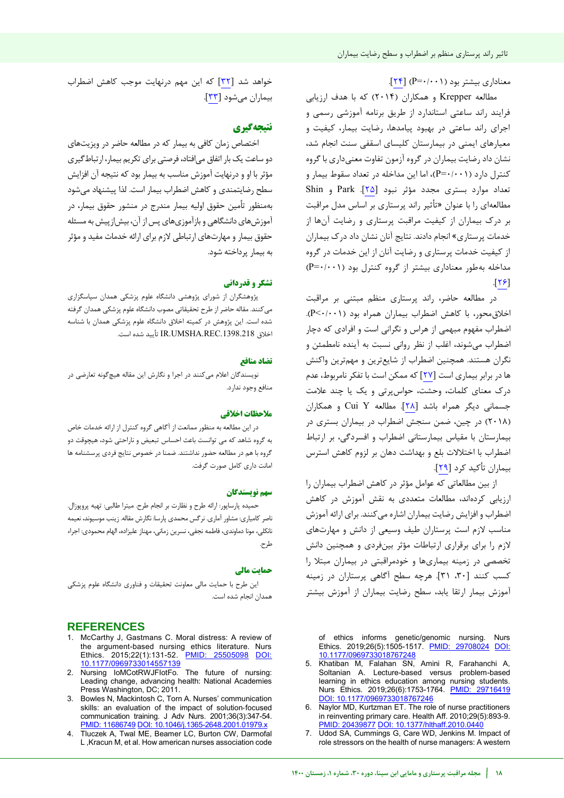معناداری بیشتر بود (P=۰/۰۰۱) [۲۴].

مطالعه Krepper و همکاران )2014( که با هدف ارزیابی فرایند راند ساعتی استاندارد از طریق برنامه آموزشی رسمی و اجرای راند ساعتی در بهبود پیامدها، رضایت بیمار، کیفیت و معیارهای ایمنی در بیمارستان کلیسای اسقفی سنت انجام شد، نشان داد رضایت بیماران در گروه آزمون تفاوت معنیداری با گروه کنترل دارد )0/001=P)، اما این مداخله در تعداد سقوط بیمار و تعداد موارد بستری مجدد مؤثر نبود [25]. Park و Shin مطالعهای را با عنوان »تأثیر راند پرستاری بر اساس مدل مراقبت بر درک بیماران از کیفیت مراقبت پرستاری و رضایت آنها از خدمات پرستاری« انجام دادند. نتایج آنان نشان داد درک بیماران از کیفیت خدمات پرستاری و رضایت آنان از این خدمات در گروه مداخله بهطور معناداری بیشتر از گروه کنترل بود )0/001=P)  $[T5]$ 

در مطالعه حاضر، راند پرستاری منظم مبتنی بر مراقبت اخالقمحور، با کاهش اضطراب بیماران همراه بود )0/001>P). اضطراب مفهوم مبهمی از هراس و نگرانی است و افرادی که دچار اضطراب میشوند، اغلب از نظر روانی نسبت به آینده نامطمئن و نگران هستند. همچنین اضطراب از شایعترین و مهمترین واکنش ها در برابر بیماری است [27] که ممکن است با تفکر نامربوط، عدم درک معنای کلمات، وحشت، حواسپرتی و یک یا چند عالمت جسمانی دیگر همراه باشد [28]. مطالعه Y Cui و همکاران )2018( در چین، ضمن سنجش اضطراب در بیماران بستری در بیمارستان با مقیاس بیمارستانی اضطراب و افسردگی، بر ارتباط اضطراب با اختالالت بلع و بهداشت دهان بر لزوم کاهش استرس بیماران تأکید کرد [29].

از بین مطالعاتی که عوامل مؤثر در کاهش اضطراب بیماران را ارزیابی کردهاند، مطالعات متعددی به نقش آموزش در کاهش اضطراب و افزایش رضایت بیماران اشاره میکنند. برای ارائه آموزش مناسب الزم است پرستاران طیف وسیعی از دانش و مهارتهای لازم را برای برقراری ارتباطات مؤثر بینفردی و همچنین دانش تخصصی در زمینه بیماریها و خودمراقبتی در بیماران مبتال را کنند کسب [[،30](#page-7-1) [31](#page-7-2)]. هرچه سطح آگاهی پرستاران در زمینه آموزش بیمار ارتقا یابد، سطح رضایت بیماران از آموزش بیشتر

of ethics informs genetic/genomic nursing. Nurs Ethics. 2019;26(5):1505-1517. [PMID: 29708024](https://pubmed.ncbi.nlm.nih.gov/29708024/) [DOI:](https://doi.org/10.1177/0969733018767248)  [10.1177/0969733018767248](https://doi.org/10.1177/0969733018767248)

- 5. Khatiban M, Falahan SN, Amini R, Farahanchi A, Soltanian A. Lecture-based versus problem-based learning in ethics education among nursing students. Nurs Ethics. 2019;26(6):1753-1764. [PMID: 29716419](https://pubmed.ncbi.nlm.nih.gov/29716419/) [DOI: 10.1177/0969733018767246](https://doi.org/10.1177/0969733018767246)
- 6. Naylor MD, Kurtzman ET. The role of nurse practitioners in reinventing primary care. Health Aff. 2010;29(5):893-9. [PMID: 20439877](https://pubmed.ncbi.nlm.nih.gov/20439877/) DOI: 10.1377/hlthaff.2010.04
- 7. Udod SA, Cummings G, Care WD, Jenkins M. Impact of role stressors on the health of nurse managers: A western

خواهد شد [32] که این مهم درنهایت موجب کاهش اضطراب بیماران میشود [33].

### **نتیجهگیری**

اختصاص زمان کافی به بیمار که در مطالعه حاضر در ویزیت های دو ساعت یک بار اتفاق میافتاد، فرصتی برای تکریم بیمار، ارتباطگیری مؤثر با او و درنهایت آموزش مناسب به بیمار بود که نتیجه آن افزایش سطح رضایتمندی و کاهش اضطراب بیمار است. لذا پیشنهاد می شود بهمنظور تأمین حقوق اولیه بیمار مندرج در منشور حقوق بیمار، در آموزشهای دانشگاهی و بازآموزیهای پس از آن، بیشازپیش به مسئله حقوق بیمار و مهارتهای ارتباطی الزم برای ارائه خدمات مفید و مؤثر به بیمار پرداخته شود.

### **تشکر و قدردانی**

پژوهشگران از شورای پژوهشی دانشگاه علوم پزشکی همدان سپاسگزاری میکنند. مقاله حاضر از طرح تحقیقاتی مصوب دانشگاه علوم پزشکی همدان گرفته شده است. این یژوهش در کمیته اخلاق دانشگاه علوم پزشکی همدان با شناسه اخالق .1398.218REC.UMSHA.IR تأیید شده است.

### **منافع تضاد**

نویسندگان اعلام می کنند در اجرا و نگارش این مقاله هیچگونه تعارضی در منافع وجود ندارد.

### **ملاحظات اخلاقی**

در این مطالعه به منظور ممانعت از آگاهی گروه کنترل از ارائه خدمات خاص به گروه شاهد که می توانست باعث احساس تبعیض و ناراحتی شود، هیچوقت دو گروه با هم در مطالعه حضور نداشتند. ضمنا در خصوص نتایج فردی پرسشنامه ها امانت داری کامل صورت گرفت.

### **سهم نو سندگانی**

حمیده پارساپور: ارائه طرح و نظارت بر انجام طرح. میترا طالبی: تهیه پروپوزال . ناصر کامیاری: مشاور آماری. نرگس محمدی پارسا: نگارش مقاله. زینب موسیوند، نعیمه نانکلی، مونا دماوندی، فاطمه نجفی، نسرین زمانی، مهناز علیزاده، الهام محمودی: اجراء .طرح

#### **حمایت مالی**

این طرح با حمایت مالی معاونت تحقیقات و فناوری دانشگاه علوم پزشکی همدان انجام شده است.

### **REFERENCES**

- 1. McCarthy J, Gastmans C. Moral distress: A review of the argument-based nursing ethics literature. Nurs Ethics. 2015;22(1):131-52. [PMID: 25505098](https://pubmed.ncbi.nlm.nih.gov/25505098/) DOI: 10.1177/09697
- 2. Nursing IoMCotRWJFIotFo. The future of nursing: Leading change, advancing health: National Academies Press Washington, DC; 2011.
- 3. Bowles N, Mackintosh C, Torn A. Nurses' communication skills: an evaluation of the impact of solution‐focused communication training. J Adv Nurs. 2001;36(3):347-54. [PMID: 11686749](https://pubmed.ncbi.nlm.nih.gov/11686749/) [DOI: 10.1046/j.1365-2648.2001.01979.x](https://doi.org/10.1046/j.1365-2648.2001.01979.x)
- 4. Tluczek A, Twal ME, Beamer LC, Burton CW, Darmofal L ,Kracun M, et al. How american nurses association code